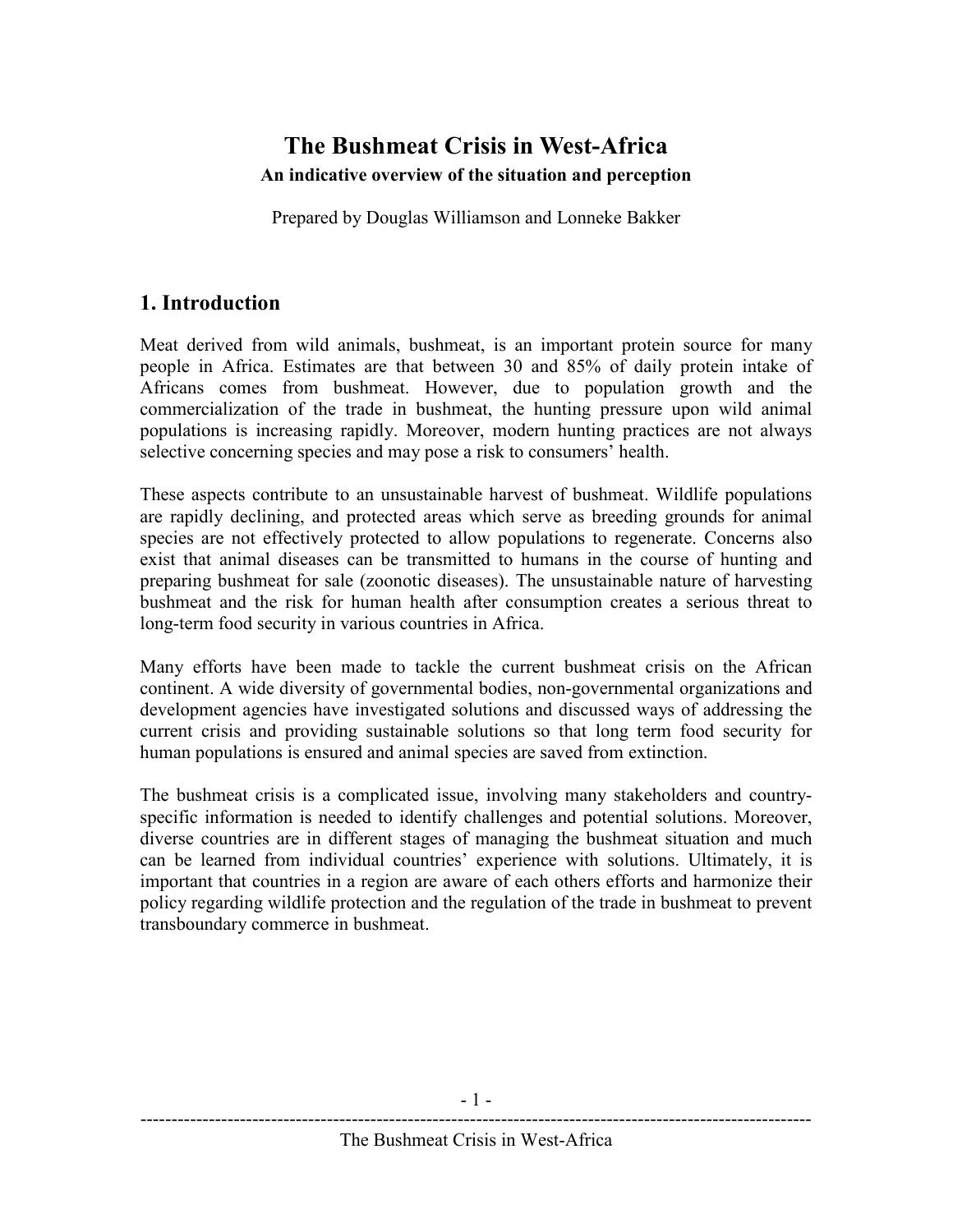# The Bushmeat Crisis in West-Africa An indicative overview of the situation and perception

Prepared by Douglas Williamson and Lonneke Bakker

## 1. Introduction

Meat derived from wild animals, bushmeat, is an important protein source for many people in Africa. Estimates are that between 30 and 85% of daily protein intake of Africans comes from bushmeat. However, due to population growth and the commercialization of the trade in bushmeat, the hunting pressure upon wild animal populations is increasing rapidly. Moreover, modern hunting practices are not always selective concerning species and may pose a risk to consumers' health.

These aspects contribute to an unsustainable harvest of bushmeat. Wildlife populations are rapidly declining, and protected areas which serve as breeding grounds for animal species are not effectively protected to allow populations to regenerate. Concerns also exist that animal diseases can be transmitted to humans in the course of hunting and preparing bushmeat for sale (zoonotic diseases). The unsustainable nature of harvesting bushmeat and the risk for human health after consumption creates a serious threat to long-term food security in various countries in Africa.

Many efforts have been made to tackle the current bushmeat crisis on the African continent. A wide diversity of governmental bodies, non-governmental organizations and development agencies have investigated solutions and discussed ways of addressing the current crisis and providing sustainable solutions so that long term food security for human populations is ensured and animal species are saved from extinction.

The bushmeat crisis is a complicated issue, involving many stakeholders and countryspecific information is needed to identify challenges and potential solutions. Moreover, diverse countries are in different stages of managing the bushmeat situation and much can be learned from individual countries' experience with solutions. Ultimately, it is important that countries in a region are aware of each others efforts and harmonize their policy regarding wildlife protection and the regulation of the trade in bushmeat to prevent transboundary commerce in bushmeat.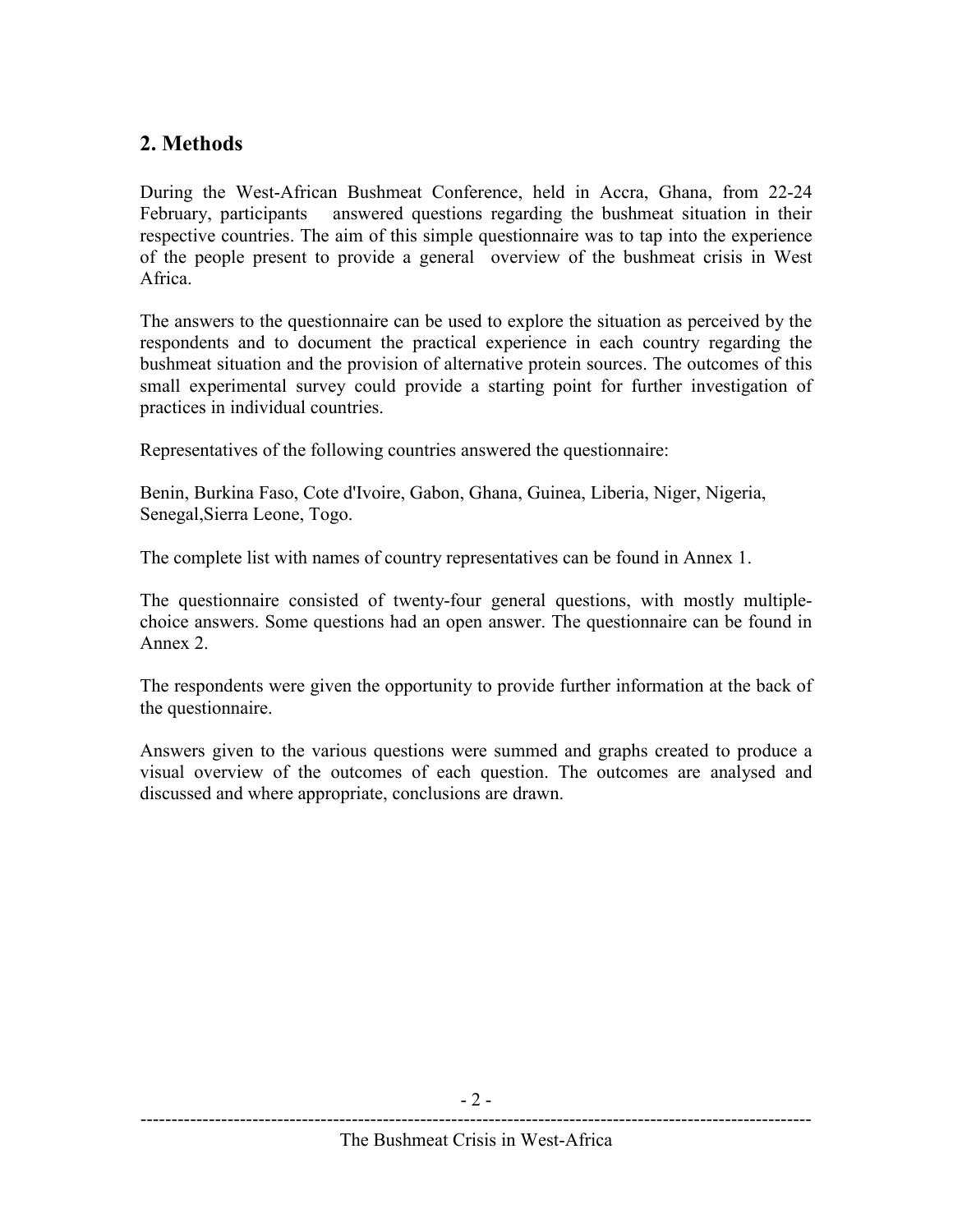# 2. Methods

During the West-African Bushmeat Conference, held in Accra, Ghana, from 22-24 February, participants answered questions regarding the bushmeat situation in their respective countries. The aim of this simple questionnaire was to tap into the experience of the people present to provide a general overview of the bushmeat crisis in West Africa.

The answers to the questionnaire can be used to explore the situation as perceived by the respondents and to document the practical experience in each country regarding the bushmeat situation and the provision of alternative protein sources. The outcomes of this small experimental survey could provide a starting point for further investigation of practices in individual countries.

Representatives of the following countries answered the questionnaire:

Benin, Burkina Faso, Cote d'Ivoire, Gabon, Ghana, Guinea, Liberia, Niger, Nigeria, Senegal,Sierra Leone, Togo.

The complete list with names of country representatives can be found in Annex 1.

The questionnaire consisted of twenty-four general questions, with mostly multiplechoice answers. Some questions had an open answer. The questionnaire can be found in Annex 2.

The respondents were given the opportunity to provide further information at the back of the questionnaire.

Answers given to the various questions were summed and graphs created to produce a visual overview of the outcomes of each question. The outcomes are analysed and discussed and where appropriate, conclusions are drawn.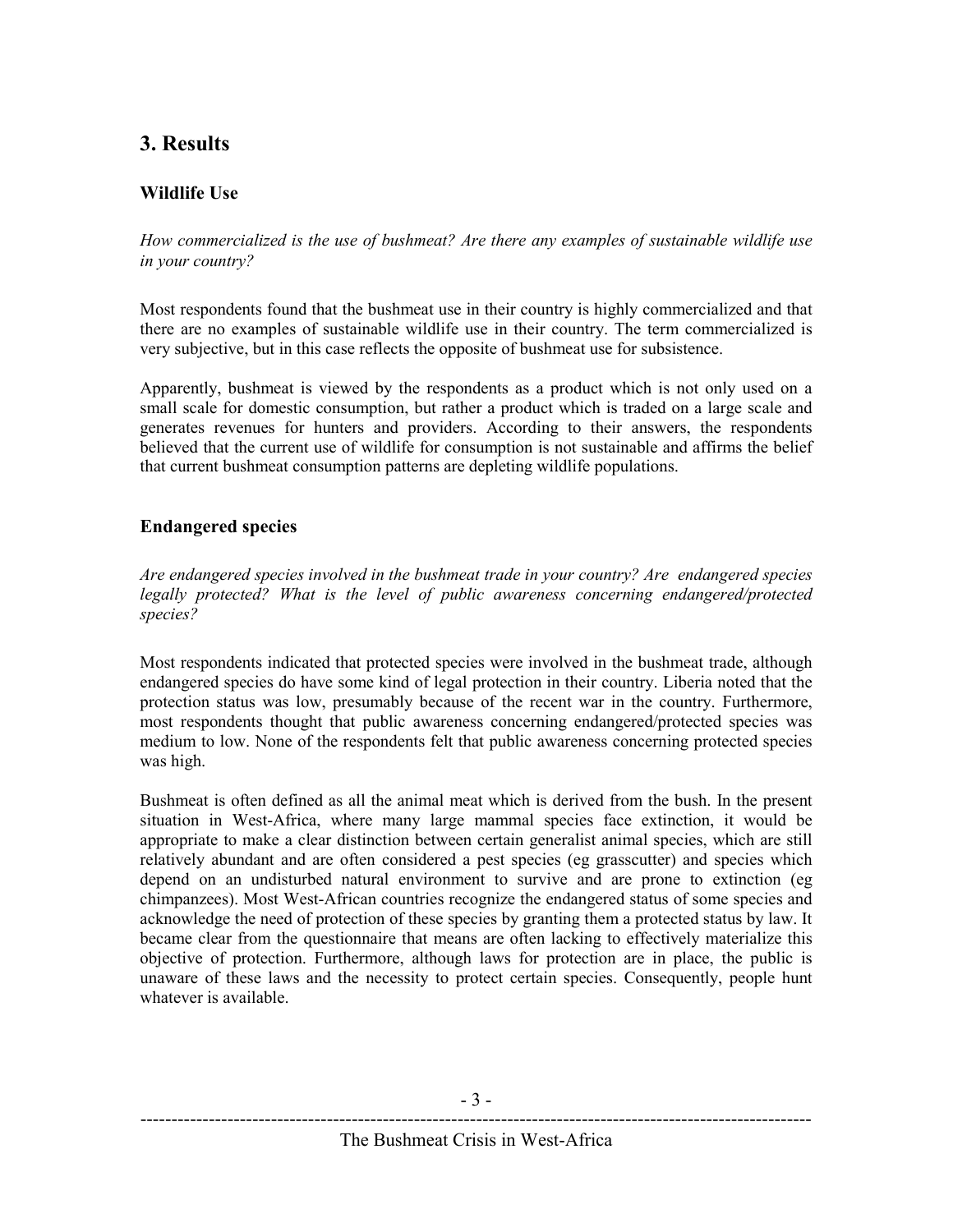# 3. Results

## Wildlife Use

How commercialized is the use of bushmeat? Are there any examples of sustainable wildlife use in your country?

Most respondents found that the bushmeat use in their country is highly commercialized and that there are no examples of sustainable wildlife use in their country. The term commercialized is very subjective, but in this case reflects the opposite of bushmeat use for subsistence.

Apparently, bushmeat is viewed by the respondents as a product which is not only used on a small scale for domestic consumption, but rather a product which is traded on a large scale and generates revenues for hunters and providers. According to their answers, the respondents believed that the current use of wildlife for consumption is not sustainable and affirms the belief that current bushmeat consumption patterns are depleting wildlife populations.

#### Endangered species

Are endangered species involved in the bushmeat trade in your country? Are endangered species legally protected? What is the level of public awareness concerning endangered/protected species?

Most respondents indicated that protected species were involved in the bushmeat trade, although endangered species do have some kind of legal protection in their country. Liberia noted that the protection status was low, presumably because of the recent war in the country. Furthermore, most respondents thought that public awareness concerning endangered/protected species was medium to low. None of the respondents felt that public awareness concerning protected species was high.

Bushmeat is often defined as all the animal meat which is derived from the bush. In the present situation in West-Africa, where many large mammal species face extinction, it would be appropriate to make a clear distinction between certain generalist animal species, which are still relatively abundant and are often considered a pest species (eg grasscutter) and species which depend on an undisturbed natural environment to survive and are prone to extinction (eg chimpanzees). Most West-African countries recognize the endangered status of some species and acknowledge the need of protection of these species by granting them a protected status by law. It became clear from the questionnaire that means are often lacking to effectively materialize this objective of protection. Furthermore, although laws for protection are in place, the public is unaware of these laws and the necessity to protect certain species. Consequently, people hunt whatever is available.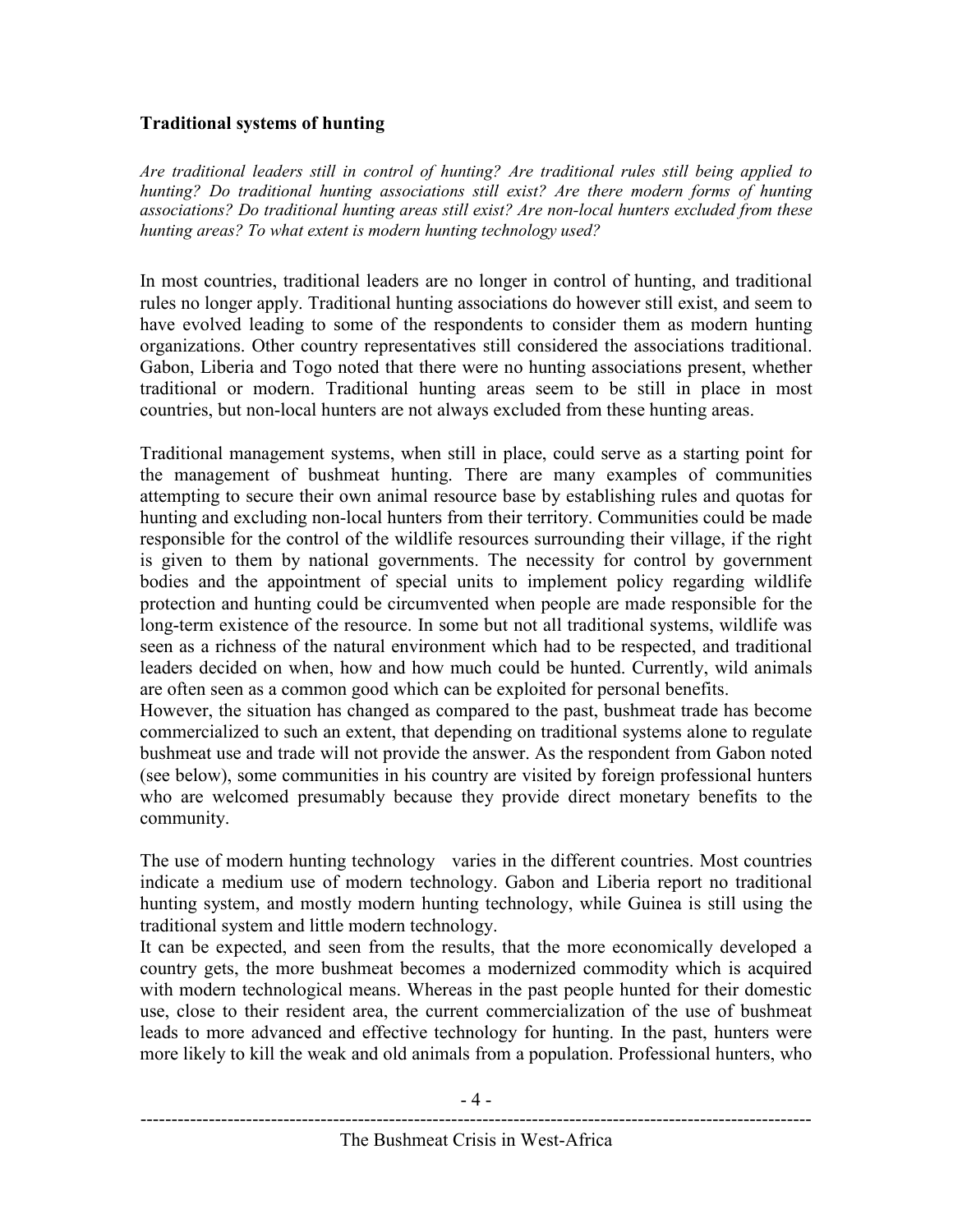#### Traditional systems of hunting

Are traditional leaders still in control of hunting? Are traditional rules still being applied to hunting? Do traditional hunting associations still exist? Are there modern forms of hunting associations? Do traditional hunting areas still exist? Are non-local hunters excluded from these hunting areas? To what extent is modern hunting technology used?

In most countries, traditional leaders are no longer in control of hunting, and traditional rules no longer apply. Traditional hunting associations do however still exist, and seem to have evolved leading to some of the respondents to consider them as modern hunting organizations. Other country representatives still considered the associations traditional. Gabon, Liberia and Togo noted that there were no hunting associations present, whether traditional or modern. Traditional hunting areas seem to be still in place in most countries, but non-local hunters are not always excluded from these hunting areas.

Traditional management systems, when still in place, could serve as a starting point for the management of bushmeat hunting. There are many examples of communities attempting to secure their own animal resource base by establishing rules and quotas for hunting and excluding non-local hunters from their territory. Communities could be made responsible for the control of the wildlife resources surrounding their village, if the right is given to them by national governments. The necessity for control by government bodies and the appointment of special units to implement policy regarding wildlife protection and hunting could be circumvented when people are made responsible for the long-term existence of the resource. In some but not all traditional systems, wildlife was seen as a richness of the natural environment which had to be respected, and traditional leaders decided on when, how and how much could be hunted. Currently, wild animals are often seen as a common good which can be exploited for personal benefits.

However, the situation has changed as compared to the past, bushmeat trade has become commercialized to such an extent, that depending on traditional systems alone to regulate bushmeat use and trade will not provide the answer. As the respondent from Gabon noted (see below), some communities in his country are visited by foreign professional hunters who are welcomed presumably because they provide direct monetary benefits to the community.

The use of modern hunting technology varies in the different countries. Most countries indicate a medium use of modern technology. Gabon and Liberia report no traditional hunting system, and mostly modern hunting technology, while Guinea is still using the traditional system and little modern technology.

It can be expected, and seen from the results, that the more economically developed a country gets, the more bushmeat becomes a modernized commodity which is acquired with modern technological means. Whereas in the past people hunted for their domestic use, close to their resident area, the current commercialization of the use of bushmeat leads to more advanced and effective technology for hunting. In the past, hunters were more likely to kill the weak and old animals from a population. Professional hunters, who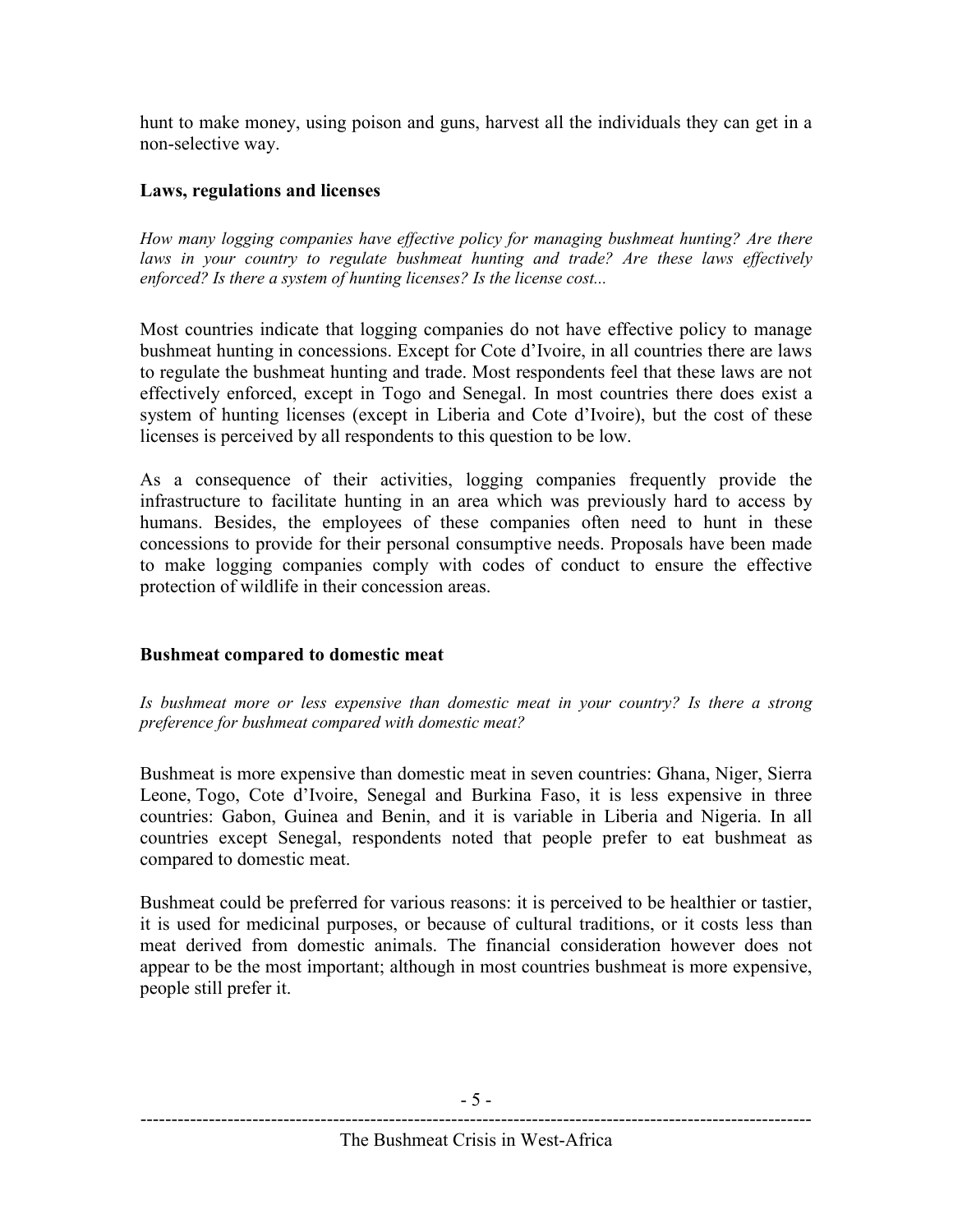hunt to make money, using poison and guns, harvest all the individuals they can get in a non-selective way.

#### Laws, regulations and licenses

How many logging companies have effective policy for managing bushmeat hunting? Are there laws in your country to regulate bushmeat hunting and trade? Are these laws effectively enforced? Is there a system of hunting licenses? Is the license cost...

Most countries indicate that logging companies do not have effective policy to manage bushmeat hunting in concessions. Except for Cote d'Ivoire, in all countries there are laws to regulate the bushmeat hunting and trade. Most respondents feel that these laws are not effectively enforced, except in Togo and Senegal. In most countries there does exist a system of hunting licenses (except in Liberia and Cote d'Ivoire), but the cost of these licenses is perceived by all respondents to this question to be low.

As a consequence of their activities, logging companies frequently provide the infrastructure to facilitate hunting in an area which was previously hard to access by humans. Besides, the employees of these companies often need to hunt in these concessions to provide for their personal consumptive needs. Proposals have been made to make logging companies comply with codes of conduct to ensure the effective protection of wildlife in their concession areas.

#### Bushmeat compared to domestic meat

Is bushmeat more or less expensive than domestic meat in your country? Is there a strong preference for bushmeat compared with domestic meat?

Bushmeat is more expensive than domestic meat in seven countries: Ghana, Niger, Sierra Leone, Togo, Cote d'Ivoire, Senegal and Burkina Faso, it is less expensive in three countries: Gabon, Guinea and Benin, and it is variable in Liberia and Nigeria. In all countries except Senegal, respondents noted that people prefer to eat bushmeat as compared to domestic meat.

Bushmeat could be preferred for various reasons: it is perceived to be healthier or tastier, it is used for medicinal purposes, or because of cultural traditions, or it costs less than meat derived from domestic animals. The financial consideration however does not appear to be the most important; although in most countries bushmeat is more expensive, people still prefer it.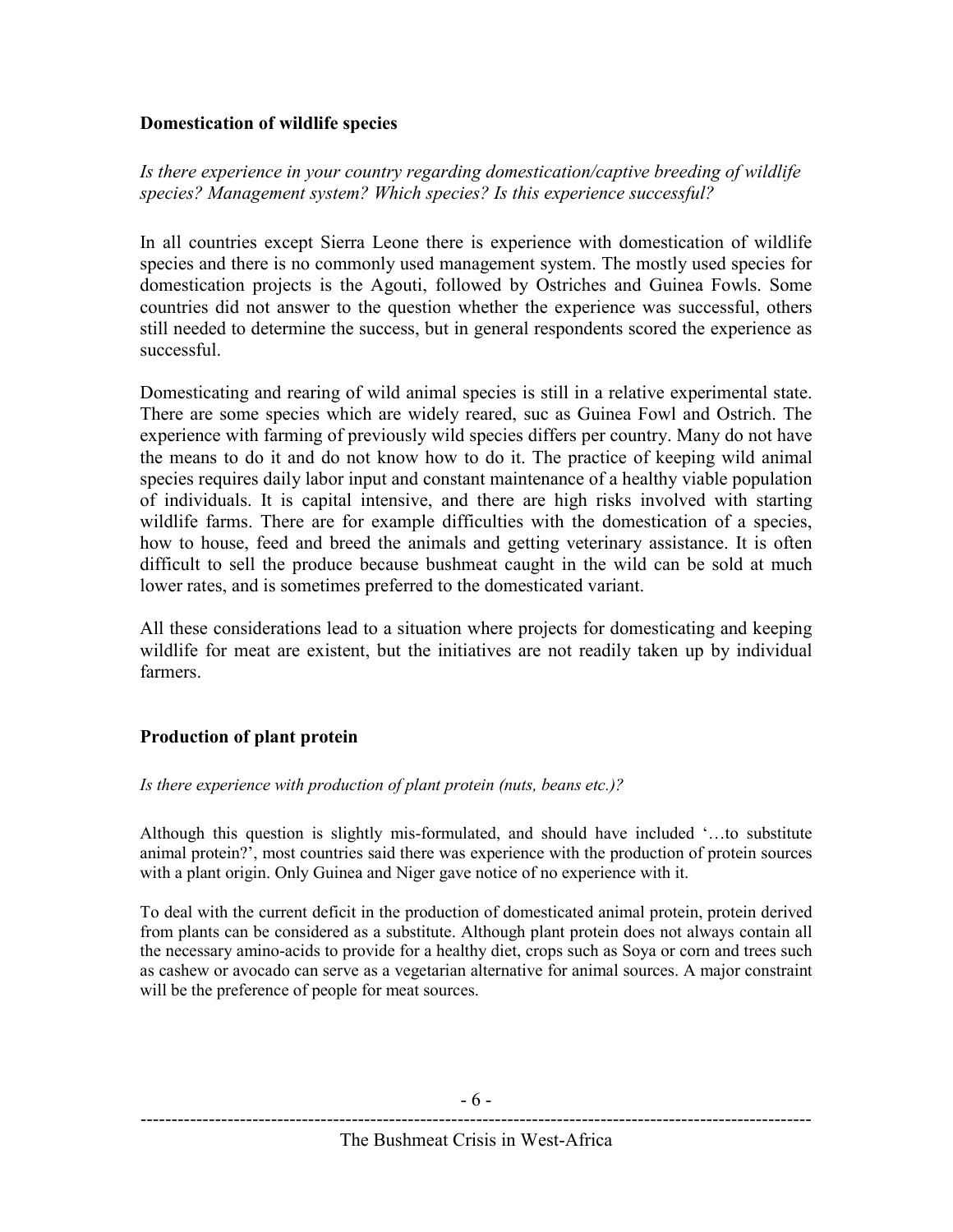#### Domestication of wildlife species

Is there experience in your country regarding domestication/captive breeding of wildlife species? Management system? Which species? Is this experience successful?

In all countries except Sierra Leone there is experience with domestication of wildlife species and there is no commonly used management system. The mostly used species for domestication projects is the Agouti, followed by Ostriches and Guinea Fowls. Some countries did not answer to the question whether the experience was successful, others still needed to determine the success, but in general respondents scored the experience as successful.

Domesticating and rearing of wild animal species is still in a relative experimental state. There are some species which are widely reared, suc as Guinea Fowl and Ostrich. The experience with farming of previously wild species differs per country. Many do not have the means to do it and do not know how to do it. The practice of keeping wild animal species requires daily labor input and constant maintenance of a healthy viable population of individuals. It is capital intensive, and there are high risks involved with starting wildlife farms. There are for example difficulties with the domestication of a species, how to house, feed and breed the animals and getting veterinary assistance. It is often difficult to sell the produce because bushmeat caught in the wild can be sold at much lower rates, and is sometimes preferred to the domesticated variant.

All these considerations lead to a situation where projects for domesticating and keeping wildlife for meat are existent, but the initiatives are not readily taken up by individual farmers.

### Production of plant protein

#### Is there experience with production of plant protein (nuts, beans etc.)?

Although this question is slightly mis-formulated, and should have included '…to substitute animal protein?', most countries said there was experience with the production of protein sources with a plant origin. Only Guinea and Niger gave notice of no experience with it.

To deal with the current deficit in the production of domesticated animal protein, protein derived from plants can be considered as a substitute. Although plant protein does not always contain all the necessary amino-acids to provide for a healthy diet, crops such as Soya or corn and trees such as cashew or avocado can serve as a vegetarian alternative for animal sources. A major constraint will be the preference of people for meat sources.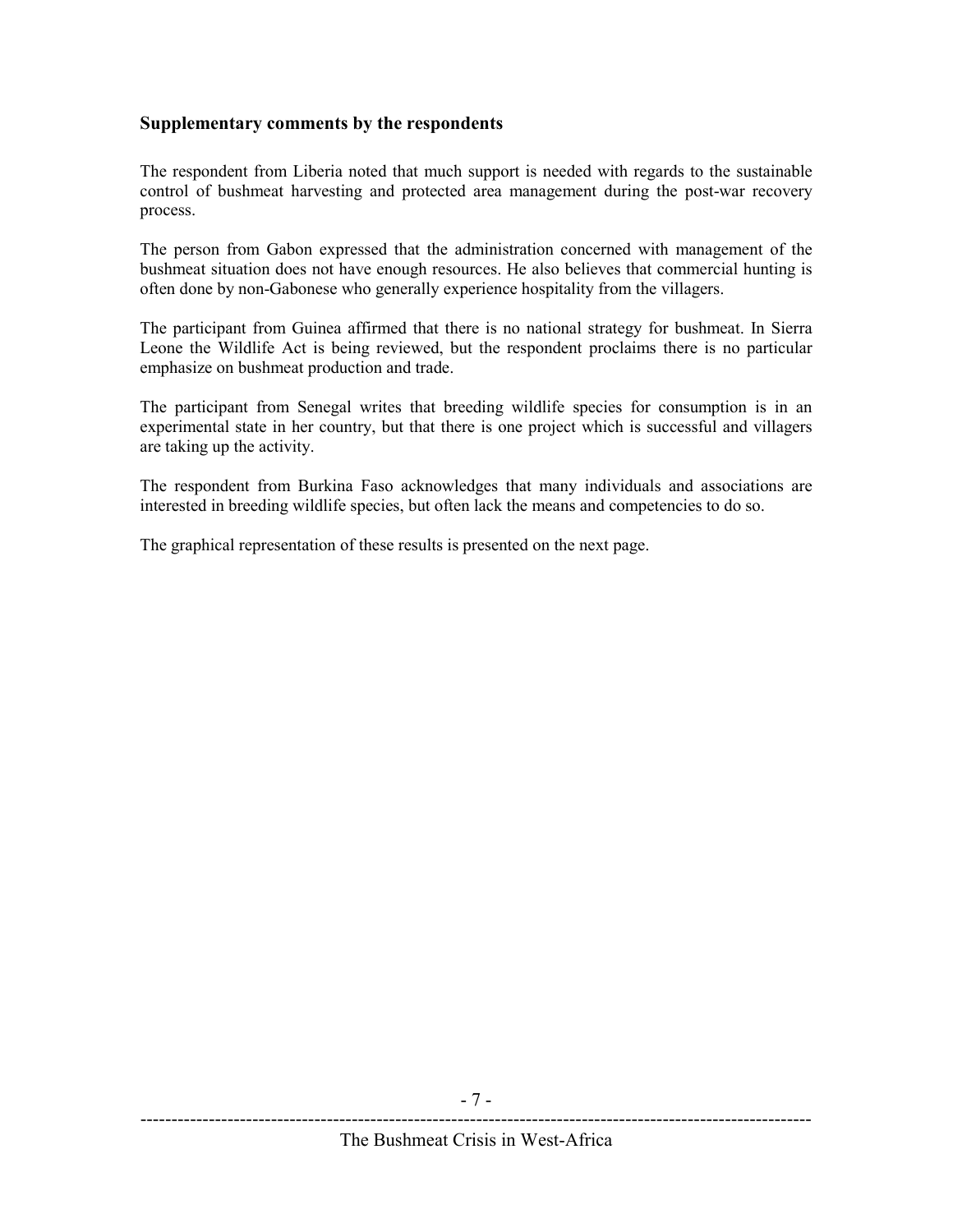#### Supplementary comments by the respondents

The respondent from Liberia noted that much support is needed with regards to the sustainable control of bushmeat harvesting and protected area management during the post-war recovery process.

The person from Gabon expressed that the administration concerned with management of the bushmeat situation does not have enough resources. He also believes that commercial hunting is often done by non-Gabonese who generally experience hospitality from the villagers.

The participant from Guinea affirmed that there is no national strategy for bushmeat. In Sierra Leone the Wildlife Act is being reviewed, but the respondent proclaims there is no particular emphasize on bushmeat production and trade.

The participant from Senegal writes that breeding wildlife species for consumption is in an experimental state in her country, but that there is one project which is successful and villagers are taking up the activity.

The respondent from Burkina Faso acknowledges that many individuals and associations are interested in breeding wildlife species, but often lack the means and competencies to do so.

The graphical representation of these results is presented on the next page.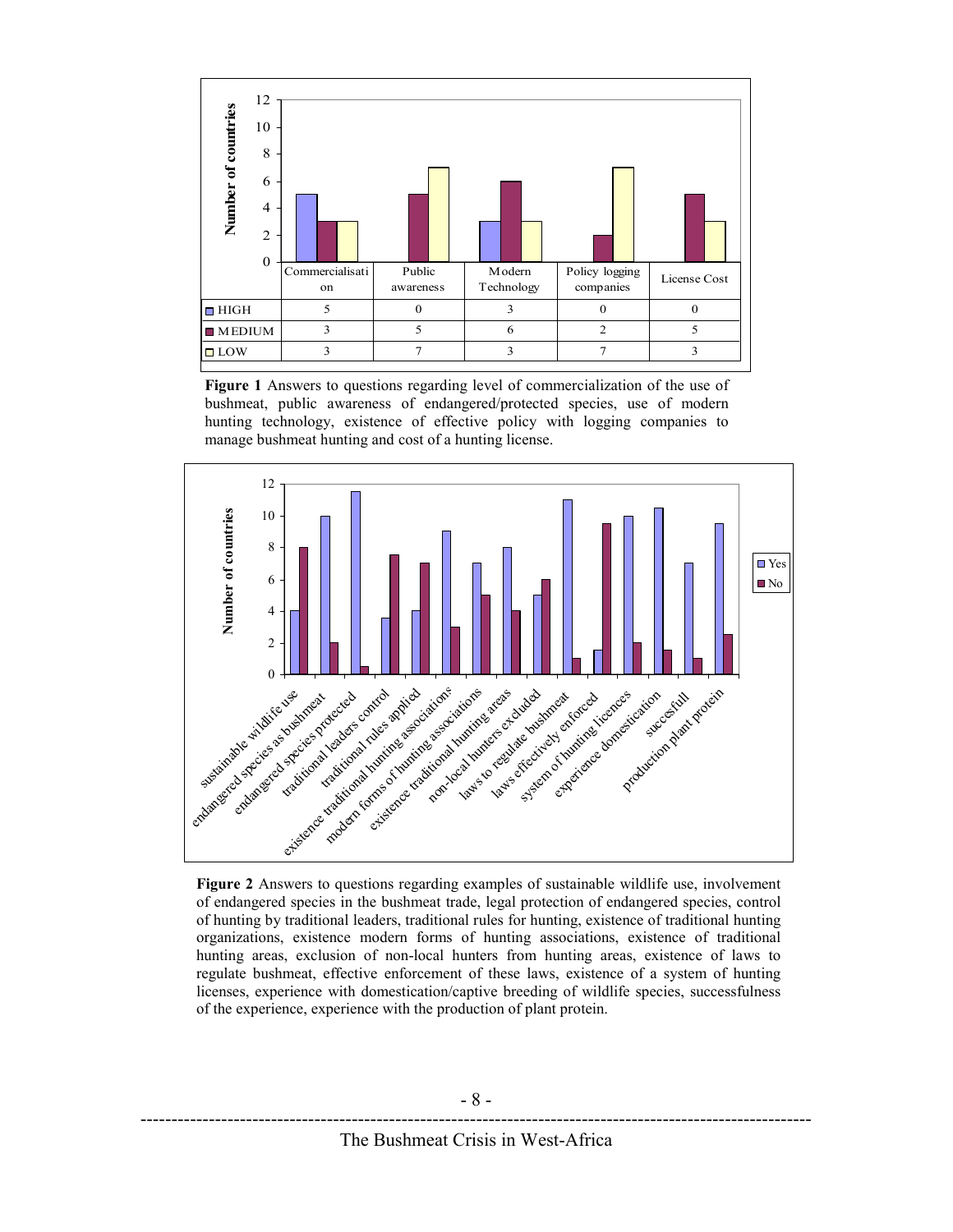

Figure 1 Answers to questions regarding level of commercialization of the use of bushmeat, public awareness of endangered/protected species, use of modern hunting technology, existence of effective policy with logging companies to manage bushmeat hunting and cost of a hunting license.



Figure 2 Answers to questions regarding examples of sustainable wildlife use, involvement of endangered species in the bushmeat trade, legal protection of endangered species, control of hunting by traditional leaders, traditional rules for hunting, existence of traditional hunting organizations, existence modern forms of hunting associations, existence of traditional hunting areas, exclusion of non-local hunters from hunting areas, existence of laws to regulate bushmeat, effective enforcement of these laws, existence of a system of hunting licenses, experience with domestication/captive breeding of wildlife species, successfulness of the experience, experience with the production of plant protein.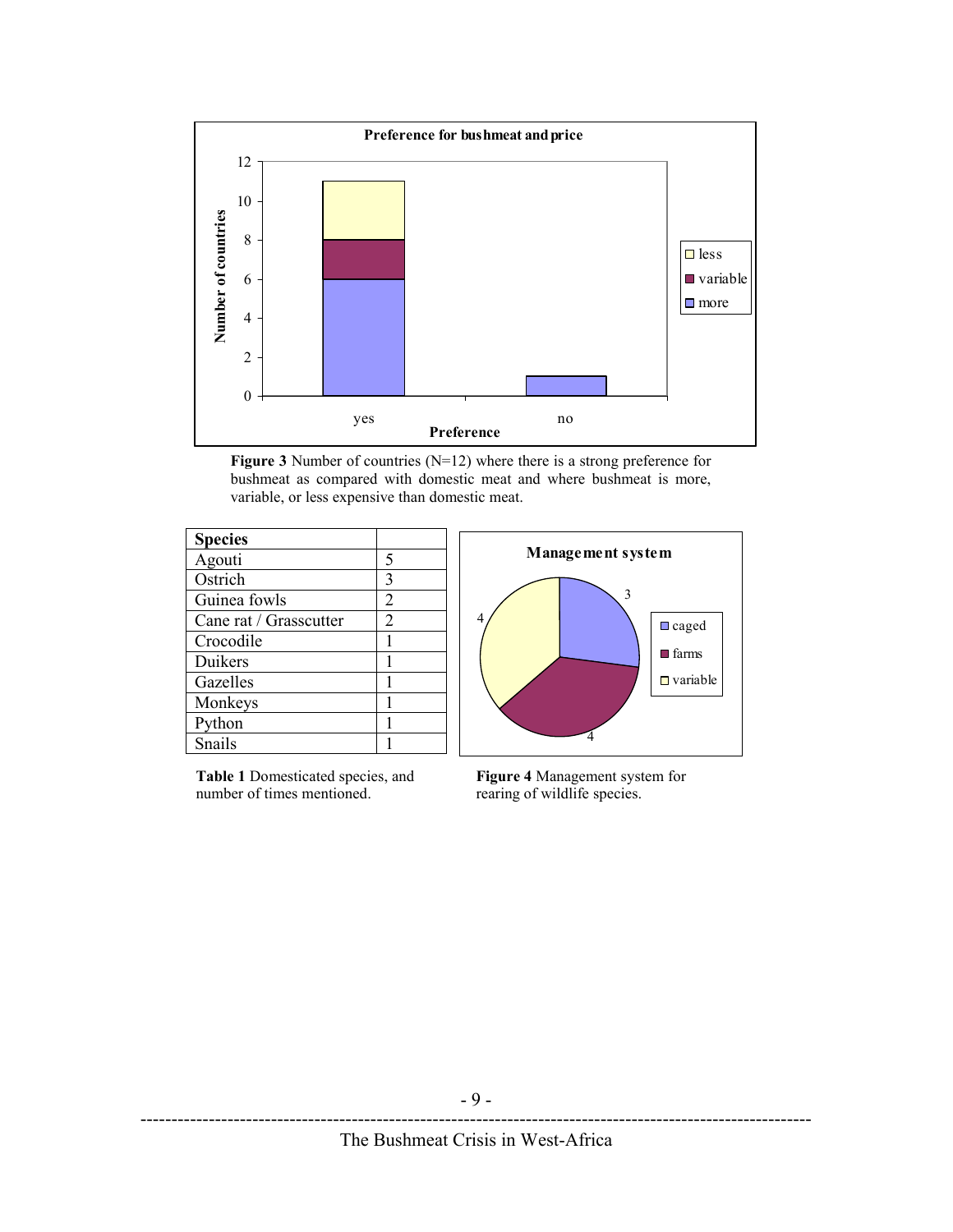

Figure 3 Number of countries (N=12) where there is a strong preference for bushmeat as compared with domestic meat and where bushmeat is more, variable, or less expensive than domestic meat.

| <b>Species</b>         |   |
|------------------------|---|
| Agouti                 | 5 |
| Ostrich                |   |
| Guinea fowls           | 2 |
| Cane rat / Grasscutter | 2 |
| Crocodile              |   |
| Duikers                |   |
| Gazelles               |   |
| Monkeys                |   |
| Python                 |   |
| Snails                 |   |

Table 1 Domesticated species, and number of times mentioned.



Figure 4 Management system for rearing of wildlife species.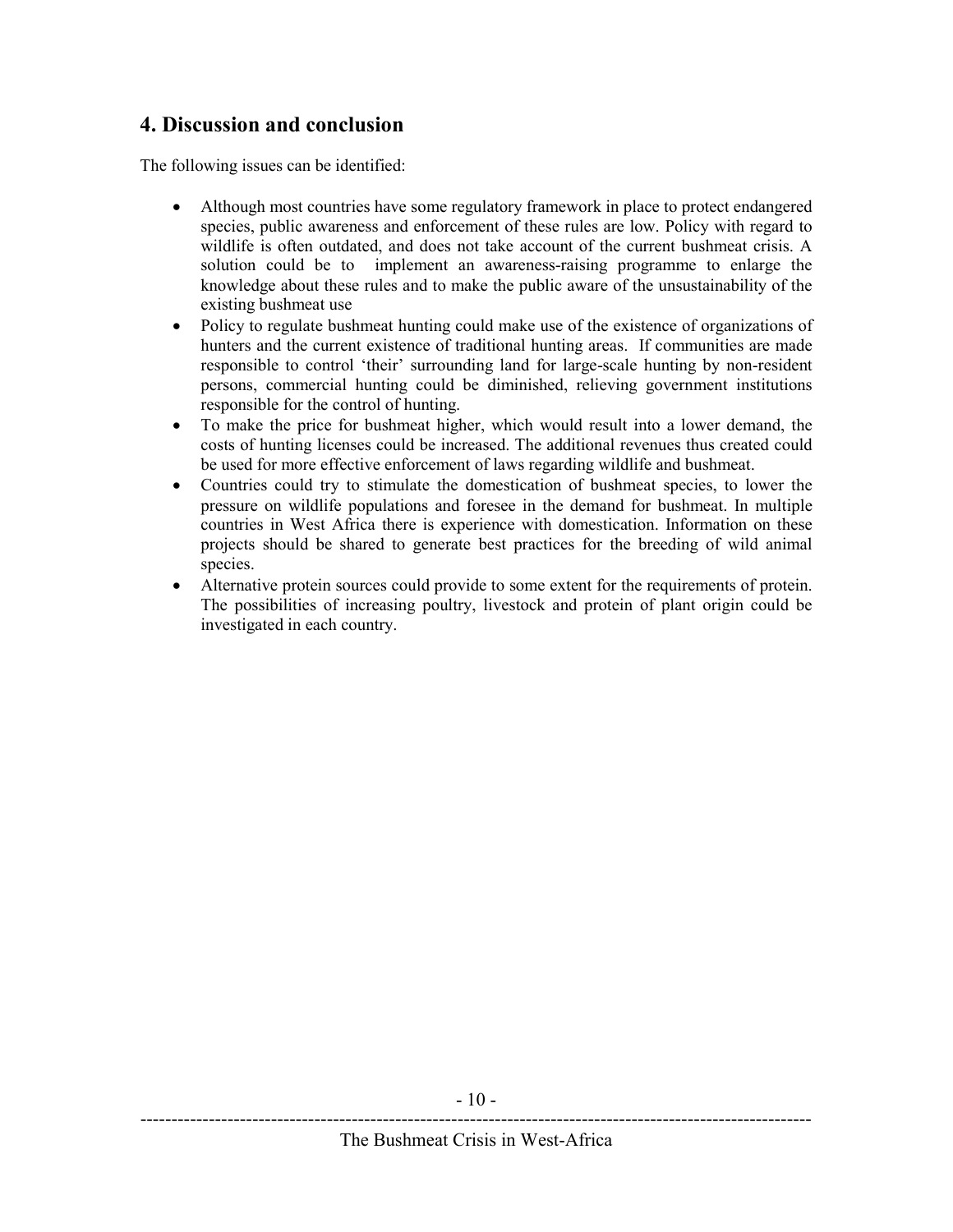## 4. Discussion and conclusion

The following issues can be identified:

- Although most countries have some regulatory framework in place to protect endangered species, public awareness and enforcement of these rules are low. Policy with regard to wildlife is often outdated, and does not take account of the current bushmeat crisis. A solution could be to implement an awareness-raising programme to enlarge the knowledge about these rules and to make the public aware of the unsustainability of the existing bushmeat use
- Policy to regulate bushmeat hunting could make use of the existence of organizations of hunters and the current existence of traditional hunting areas. If communities are made responsible to control 'their' surrounding land for large-scale hunting by non-resident persons, commercial hunting could be diminished, relieving government institutions responsible for the control of hunting.
- To make the price for bushmeat higher, which would result into a lower demand, the costs of hunting licenses could be increased. The additional revenues thus created could be used for more effective enforcement of laws regarding wildlife and bushmeat.
- Countries could try to stimulate the domestication of bushmeat species, to lower the pressure on wildlife populations and foresee in the demand for bushmeat. In multiple countries in West Africa there is experience with domestication. Information on these projects should be shared to generate best practices for the breeding of wild animal species.
- Alternative protein sources could provide to some extent for the requirements of protein. The possibilities of increasing poultry, livestock and protein of plant origin could be investigated in each country.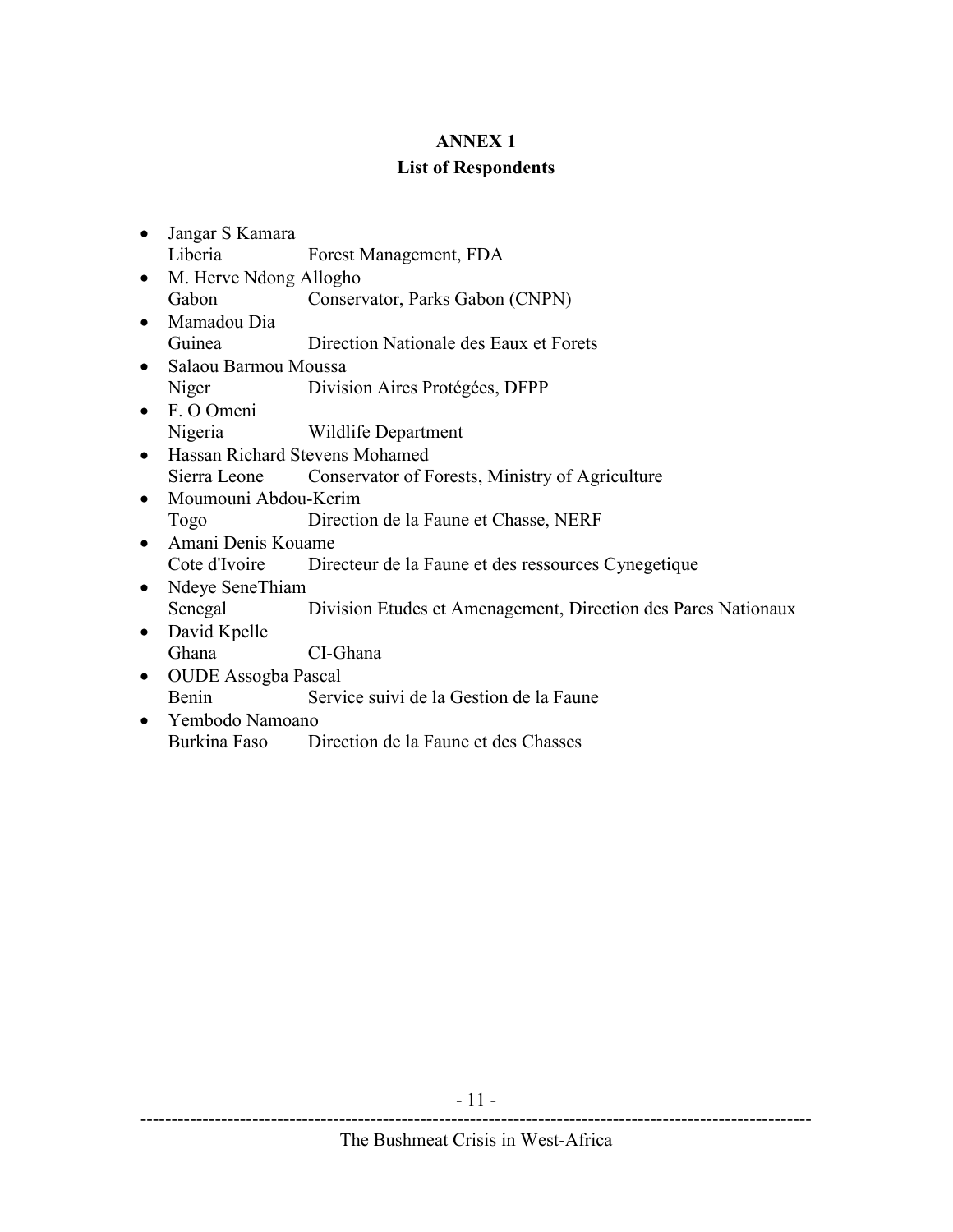#### ANNEX 1

#### List of Respondents

- Jangar S Kamara Liberia Forest Management, FDA
- M. Herve Ndong Allogho Gabon Conservator, Parks Gabon (CNPN)
- Mamadou Dia Guinea Direction Nationale des Eaux et Forets
- Salaou Barmou Moussa Niger Division Aires Protégées, DFPP
- F. O Omeni Nigeria Wildlife Department
- Hassan Richard Stevens Mohamed Sierra Leone Conservator of Forests, Ministry of Agriculture
- Moumouni Abdou-Kerim Togo Direction de la Faune et Chasse, NERF
- Amani Denis Kouame Cote d'Ivoire Directeur de la Faune et des ressources Cynegetique
- Ndeye SeneThiam Senegal Division Etudes et Amenagement, Direction des Parcs Nationaux
- David Kpelle Ghana CI-Ghana
- OUDE Assogba Pascal Benin Service suivi de la Gestion de la Faune
- Yembodo Namoano Burkina Faso Direction de la Faune et des Chasses